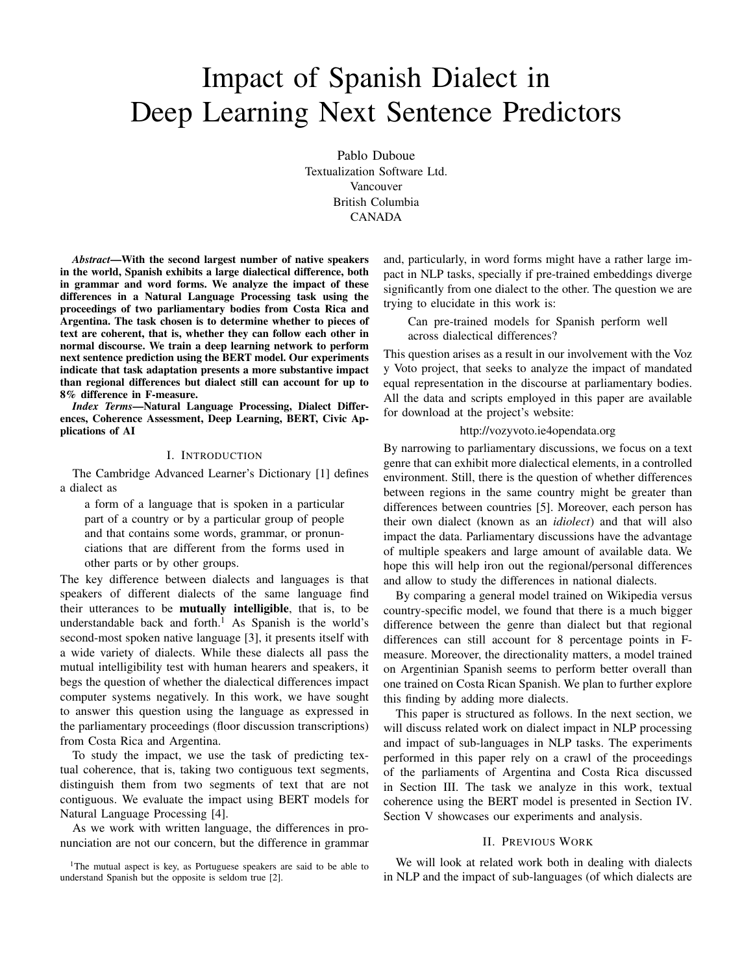# Impact of Spanish Dialect in Deep Learning Next Sentence Predictors

Pablo Duboue Textualization Software Ltd. Vancouver British Columbia CANADA

*Abstract*—With the second largest number of native speakers in the world, Spanish exhibits a large dialectical difference, both in grammar and word forms. We analyze the impact of these differences in a Natural Language Processing task using the proceedings of two parliamentary bodies from Costa Rica and Argentina. The task chosen is to determine whether to pieces of text are coherent, that is, whether they can follow each other in normal discourse. We train a deep learning network to perform next sentence prediction using the BERT model. Our experiments indicate that task adaptation presents a more substantive impact than regional differences but dialect still can account for up to 8% difference in F-measure.

*Index Terms*—Natural Language Processing, Dialect Differences, Coherence Assessment, Deep Learning, BERT, Civic Applications of AI

#### I. INTRODUCTION

The Cambridge Advanced Learner's Dictionary [\[1\]](#page-5-0) defines a dialect as

a form of a language that is spoken in a particular part of a country or by a particular group of people and that contains some words, grammar, or pronunciations that are different from the forms used in other parts or by other groups.

The key difference between dialects and languages is that speakers of different dialects of the same language find their utterances to be mutually intelligible, that is, to be understandable back and forth.<sup>[1](#page-0-0)</sup> As Spanish is the world's second-most spoken native language [\[3\]](#page-5-1), it presents itself with a wide variety of dialects. While these dialects all pass the mutual intelligibility test with human hearers and speakers, it begs the question of whether the dialectical differences impact computer systems negatively. In this work, we have sought to answer this question using the language as expressed in the parliamentary proceedings (floor discussion transcriptions) from Costa Rica and Argentina.

To study the impact, we use the task of predicting textual coherence, that is, taking two contiguous text segments, distinguish them from two segments of text that are not contiguous. We evaluate the impact using BERT models for Natural Language Processing [\[4\]](#page-5-2).

As we work with written language, the differences in pronunciation are not our concern, but the difference in grammar

<span id="page-0-0"></span><sup>1</sup>The mutual aspect is key, as Portuguese speakers are said to be able to understand Spanish but the opposite is seldom true [\[2\]](#page-5-3).

and, particularly, in word forms might have a rather large impact in NLP tasks, specially if pre-trained embeddings diverge significantly from one dialect to the other. The question we are trying to elucidate in this work is:

Can pre-trained models for Spanish perform well across dialectical differences?

This question arises as a result in our involvement with the Voz y Voto project, that seeks to analyze the impact of mandated equal representation in the discourse at parliamentary bodies. All the data and scripts employed in this paper are available for download at the project's website:

# <http://vozyvoto.ie4opendata.org>

By narrowing to parliamentary discussions, we focus on a text genre that can exhibit more dialectical elements, in a controlled environment. Still, there is the question of whether differences between regions in the same country might be greater than differences between countries [\[5\]](#page-5-4). Moreover, each person has their own dialect (known as an *idiolect*) and that will also impact the data. Parliamentary discussions have the advantage of multiple speakers and large amount of available data. We hope this will help iron out the regional/personal differences and allow to study the differences in national dialects.

By comparing a general model trained on Wikipedia versus country-specific model, we found that there is a much bigger difference between the genre than dialect but that regional differences can still account for 8 percentage points in Fmeasure. Moreover, the directionality matters, a model trained on Argentinian Spanish seems to perform better overall than one trained on Costa Rican Spanish. We plan to further explore this finding by adding more dialects.

This paper is structured as follows. In the next section, we will discuss related work on dialect impact in NLP processing and impact of sub-languages in NLP tasks. The experiments performed in this paper rely on a crawl of the proceedings of the parliaments of Argentina and Costa Rica discussed in Section [III.](#page-2-0) The task we analyze in this work, textual coherence using the BERT model is presented in Section [IV.](#page-2-1) Section [V](#page-3-0) showcases our experiments and analysis.

## II. PREVIOUS WORK

We will look at related work both in dealing with dialects in NLP and the impact of sub-languages (of which dialects are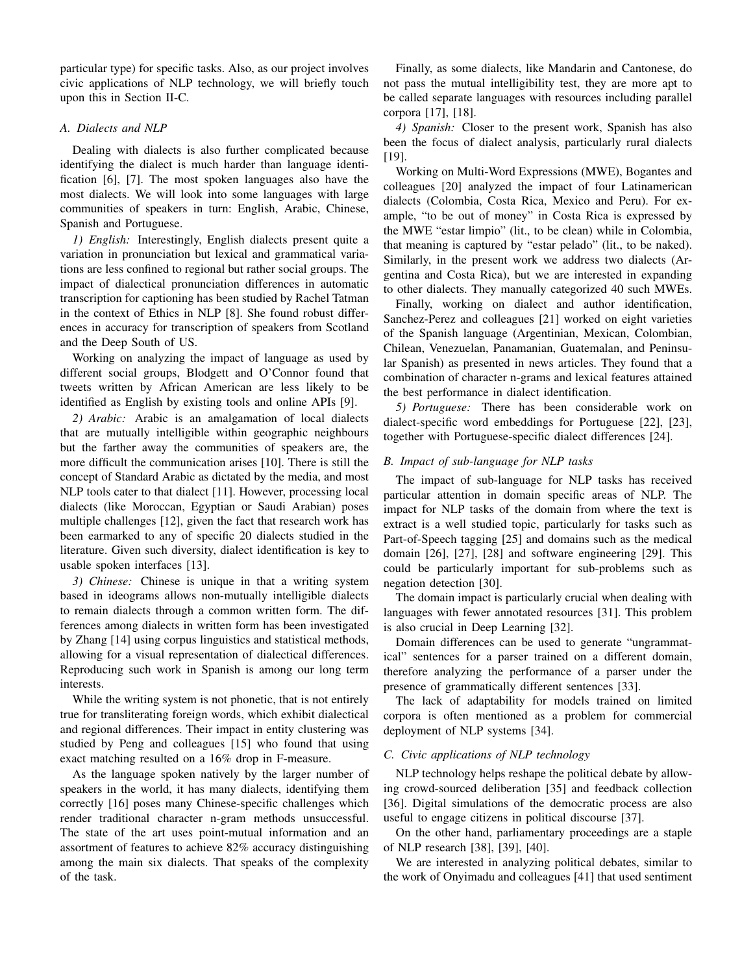particular type) for specific tasks. Also, as our project involves civic applications of NLP technology, we will briefly touch upon this in Section [II-C.](#page-1-0)

# *A. Dialects and NLP*

Dealing with dialects is also further complicated because identifying the dialect is much harder than language identification [\[6\]](#page-5-5), [\[7\]](#page-5-6). The most spoken languages also have the most dialects. We will look into some languages with large communities of speakers in turn: English, Arabic, Chinese, Spanish and Portuguese.

*1) English:* Interestingly, English dialects present quite a variation in pronunciation but lexical and grammatical variations are less confined to regional but rather social groups. The impact of dialectical pronunciation differences in automatic transcription for captioning has been studied by Rachel Tatman in the context of Ethics in NLP [\[8\]](#page-5-7). She found robust differences in accuracy for transcription of speakers from Scotland and the Deep South of US.

Working on analyzing the impact of language as used by different social groups, Blodgett and O'Connor found that tweets written by African American are less likely to be identified as English by existing tools and online APIs [\[9\]](#page-5-8).

*2) Arabic:* Arabic is an amalgamation of local dialects that are mutually intelligible within geographic neighbours but the farther away the communities of speakers are, the more difficult the communication arises [\[10\]](#page-5-9). There is still the concept of Standard Arabic as dictated by the media, and most NLP tools cater to that dialect [\[11\]](#page-5-10). However, processing local dialects (like Moroccan, Egyptian or Saudi Arabian) poses multiple challenges [\[12\]](#page-5-11), given the fact that research work has been earmarked to any of specific 20 dialects studied in the literature. Given such diversity, dialect identification is key to usable spoken interfaces [\[13\]](#page-5-12).

*3) Chinese:* Chinese is unique in that a writing system based in ideograms allows non-mutually intelligible dialects to remain dialects through a common written form. The differences among dialects in written form has been investigated by Zhang [\[14\]](#page-5-13) using corpus linguistics and statistical methods, allowing for a visual representation of dialectical differences. Reproducing such work in Spanish is among our long term interests.

While the writing system is not phonetic, that is not entirely true for transliterating foreign words, which exhibit dialectical and regional differences. Their impact in entity clustering was studied by Peng and colleagues [\[15\]](#page-5-14) who found that using exact matching resulted on a 16% drop in F-measure.

As the language spoken natively by the larger number of speakers in the world, it has many dialects, identifying them correctly [\[16\]](#page-5-15) poses many Chinese-specific challenges which render traditional character n-gram methods unsuccessful. The state of the art uses point-mutual information and an assortment of features to achieve 82% accuracy distinguishing among the main six dialects. That speaks of the complexity of the task.

Finally, as some dialects, like Mandarin and Cantonese, do not pass the mutual intelligibility test, they are more apt to be called separate languages with resources including parallel corpora [\[17\]](#page-5-16), [\[18\]](#page-5-17).

*4) Spanish:* Closer to the present work, Spanish has also been the focus of dialect analysis, particularly rural dialects [\[19\]](#page-5-18).

Working on Multi-Word Expressions (MWE), Bogantes and colleagues [\[20\]](#page-6-0) analyzed the impact of four Latinamerican dialects (Colombia, Costa Rica, Mexico and Peru). For example, "to be out of money" in Costa Rica is expressed by the MWE "estar limpio" (lit., to be clean) while in Colombia, that meaning is captured by "estar pelado" (lit., to be naked). Similarly, in the present work we address two dialects (Argentina and Costa Rica), but we are interested in expanding to other dialects. They manually categorized 40 such MWEs.

Finally, working on dialect and author identification, Sanchez-Perez and colleagues [\[21\]](#page-6-1) worked on eight varieties of the Spanish language (Argentinian, Mexican, Colombian, Chilean, Venezuelan, Panamanian, Guatemalan, and Peninsular Spanish) as presented in news articles. They found that a combination of character n-grams and lexical features attained the best performance in dialect identification.

*5) Portuguese:* There has been considerable work on dialect-specific word embeddings for Portuguese [\[22\]](#page-6-2), [\[23\]](#page-6-3), together with Portuguese-specific dialect differences [\[24\]](#page-6-4).

# *B. Impact of sub-language for NLP tasks*

The impact of sub-language for NLP tasks has received particular attention in domain specific areas of NLP. The impact for NLP tasks of the domain from where the text is extract is a well studied topic, particularly for tasks such as Part-of-Speech tagging [\[25\]](#page-6-5) and domains such as the medical domain [\[26\]](#page-6-6), [\[27\]](#page-6-7), [\[28\]](#page-6-8) and software engineering [\[29\]](#page-6-9). This could be particularly important for sub-problems such as negation detection [\[30\]](#page-6-10).

The domain impact is particularly crucial when dealing with languages with fewer annotated resources [\[31\]](#page-6-11). This problem is also crucial in Deep Learning [\[32\]](#page-6-12).

Domain differences can be used to generate "ungrammatical" sentences for a parser trained on a different domain, therefore analyzing the performance of a parser under the presence of grammatically different sentences [\[33\]](#page-6-13).

The lack of adaptability for models trained on limited corpora is often mentioned as a problem for commercial deployment of NLP systems [\[34\]](#page-6-14).

## <span id="page-1-0"></span>*C. Civic applications of NLP technology*

NLP technology helps reshape the political debate by allowing crowd-sourced deliberation [\[35\]](#page-6-15) and feedback collection [\[36\]](#page-6-16). Digital simulations of the democratic process are also useful to engage citizens in political discourse [\[37\]](#page-7-0).

On the other hand, parliamentary proceedings are a staple of NLP research [\[38\]](#page-7-1), [\[39\]](#page-7-2), [\[40\]](#page-7-3).

We are interested in analyzing political debates, similar to the work of Onyimadu and colleagues [\[41\]](#page-7-4) that used sentiment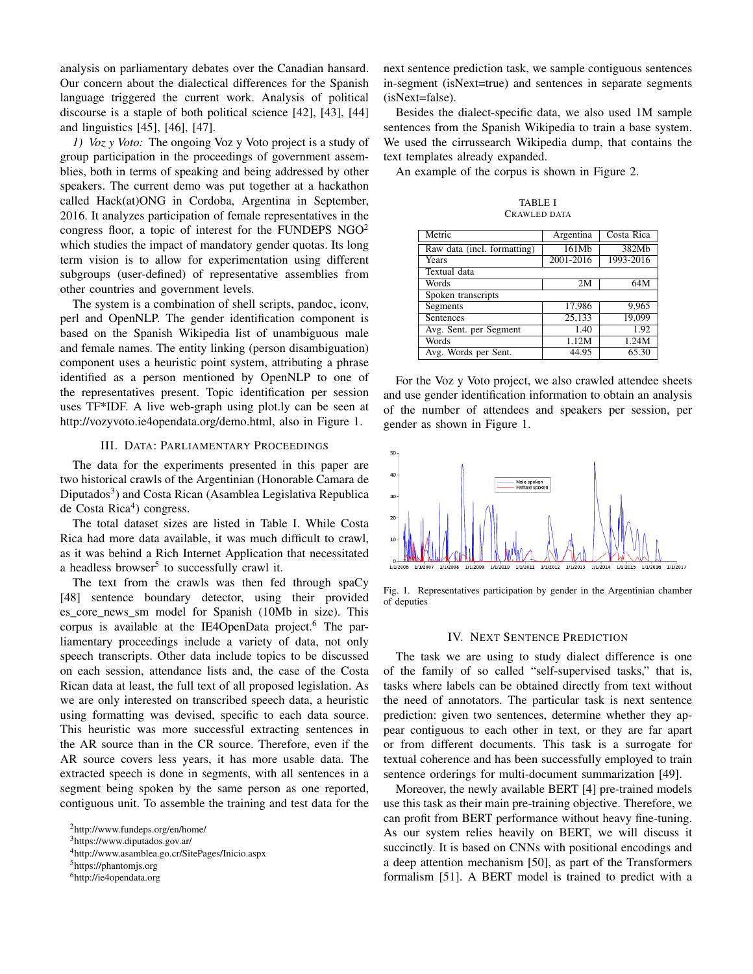analysis on parliamentary debates over the Canadian hansard. Our concern about the dialectical differences for the Spanish language triggered the current work. Analysis of political discourse is a staple of both political science [\[42\]](#page-7-5), [\[43\]](#page-7-6), [\[44\]](#page-7-7) and linguistics [\[45\]](#page-7-8), [\[46\]](#page-7-9), [\[47\]](#page-7-10).

*1) Voz y Voto:* The ongoing Voz y Voto project is a study of group participation in the proceedings of government assemblies, both in terms of speaking and being addressed by other speakers. The current demo was put together at a hackathon called Hack(at)ONG in Cordoba, Argentina in September, 2016. It analyzes participation of female representatives in the congress floor, a topic of interest for the FUNDEPS  $NGO<sup>2</sup>$  $NGO<sup>2</sup>$  $NGO<sup>2</sup>$ which studies the impact of mandatory gender quotas. Its long term vision is to allow for experimentation using different subgroups (user-defined) of representative assemblies from other countries and government levels.

The system is a combination of shell scripts, pandoc, iconv, perl and OpenNLP. The gender identification component is based on the Spanish Wikipedia list of unambiguous male and female names. The entity linking (person disambiguation) component uses a heuristic point system, attributing a phrase identified as a person mentioned by OpenNLP to one of the representatives present. Topic identification per session uses TF\*IDF. A live web-graph using plot.ly can be seen at [http://vozyvoto.ie4opendata.org/demo.html,](http://vozyvoto.ie4opendata.org/demo.html) also in Figure [1.](#page-2-3)

## III. DATA: PARLIAMENTARY PROCEEDINGS

<span id="page-2-0"></span>The data for the experiments presented in this paper are two historical crawls of the Argentinian (Honorable Camara de Diputados<sup>[3](#page-2-4)</sup>) and Costa Rican (Asamblea Legislativa Republica de Costa Rica<sup>[4](#page-2-5)</sup>) congress.

The total dataset sizes are listed in Table [I.](#page-2-6) While Costa Rica had more data available, it was much difficult to crawl, as it was behind a Rich Internet Application that necessitated a headless browser<sup>[5](#page-2-7)</sup> to successfully crawl it.

The text from the crawls was then fed through spaCy [\[48\]](#page-7-11) sentence boundary detector, using their provided es\_core\_news\_sm model for Spanish (10Mb in size). This corpus is available at the IE4OpenData project.<sup>[6](#page-2-8)</sup> The parliamentary proceedings include a variety of data, not only speech transcripts. Other data include topics to be discussed on each session, attendance lists and, the case of the Costa Rican data at least, the full text of all proposed legislation. As we are only interested on transcribed speech data, a heuristic using formatting was devised, specific to each data source. This heuristic was more successful extracting sentences in the AR source than in the CR source. Therefore, even if the AR source covers less years, it has more usable data. The extracted speech is done in segments, with all sentences in a segment being spoken by the same person as one reported, contiguous unit. To assemble the training and test data for the

next sentence prediction task, we sample contiguous sentences in-segment (isNext=true) and sentences in separate segments (isNext=false).

Besides the dialect-specific data, we also used 1M sample sentences from the Spanish Wikipedia to train a base system. We used the cirrussearch Wikipedia dump, that contains the text templates already expanded.

<span id="page-2-6"></span>An example of the corpus is shown in Figure [2.](#page-8-0)

TABLE I CRAWLED DATA

| Metric                      | Argentina         | Costa Rica |  |  |  |
|-----------------------------|-------------------|------------|--|--|--|
| Raw data (incl. formatting) | 161Mb             | 382Mb      |  |  |  |
| Years                       | 2001-2016         | 1993-2016  |  |  |  |
| Textual data                |                   |            |  |  |  |
| Words                       | 2M                | 64M        |  |  |  |
| Spoken transcripts          |                   |            |  |  |  |
| Segments                    | 17,986            | 9,965      |  |  |  |
| Sentences                   | 25,133            | 19,099     |  |  |  |
| Avg. Sent. per Segment      | $\overline{1.40}$ | 1.92       |  |  |  |
| Words                       | 1.12M             | 1.24M      |  |  |  |
| Avg. Words per Sent.        | 44.95             | 65.30      |  |  |  |

For the Voz y Voto project, we also crawled attendee sheets and use gender identification information to obtain an analysis of the number of attendees and speakers per session, per gender as shown in Figure [1.](#page-2-3)



<span id="page-2-3"></span>Fig. 1. Representatives participation by gender in the Argentinian chamber of deputies

# IV. NEXT SENTENCE PREDICTION

<span id="page-2-1"></span>The task we are using to study dialect difference is one of the family of so called "self-supervised tasks," that is, tasks where labels can be obtained directly from text without the need of annotators. The particular task is next sentence prediction: given two sentences, determine whether they appear contiguous to each other in text, or they are far apart or from different documents. This task is a surrogate for textual coherence and has been successfully employed to train sentence orderings for multi-document summarization [\[49\]](#page-7-12).

Moreover, the newly available BERT [\[4\]](#page-5-2) pre-trained models use this task as their main pre-training objective. Therefore, we can profit from BERT performance without heavy fine-tuning. As our system relies heavily on BERT, we will discuss it succinctly. It is based on CNNs with positional encodings and a deep attention mechanism [\[50\]](#page-7-13), as part of the Transformers formalism [\[51\]](#page-7-14). A BERT model is trained to predict with a

<span id="page-2-2"></span><sup>2</sup><http://www.fundeps.org/en/home/>

<span id="page-2-4"></span><sup>3</sup><https://www.diputados.gov.ar/>

<span id="page-2-5"></span><sup>4</sup><http://www.asamblea.go.cr/SitePages/Inicio.aspx>

<span id="page-2-7"></span><sup>5</sup><https://phantomjs.org>

<span id="page-2-8"></span><sup>6</sup><http://ie4opendata.org>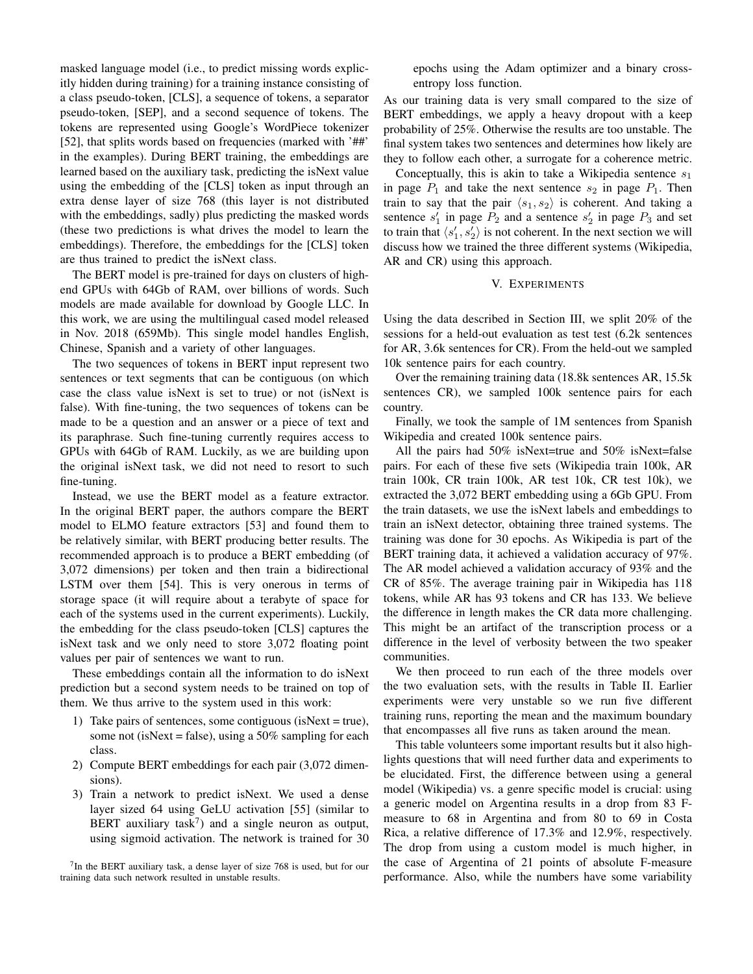masked language model (i.e., to predict missing words explicitly hidden during training) for a training instance consisting of a class pseudo-token, [CLS], a sequence of tokens, a separator pseudo-token, [SEP], and a second sequence of tokens. The tokens are represented using Google's WordPiece tokenizer [\[52\]](#page-7-15), that splits words based on frequencies (marked with '##' in the examples). During BERT training, the embeddings are learned based on the auxiliary task, predicting the isNext value using the embedding of the [CLS] token as input through an extra dense layer of size 768 (this layer is not distributed with the embeddings, sadly) plus predicting the masked words (these two predictions is what drives the model to learn the embeddings). Therefore, the embeddings for the [CLS] token are thus trained to predict the isNext class.

The BERT model is pre-trained for days on clusters of highend GPUs with 64Gb of RAM, over billions of words. Such models are made available for download by Google LLC. In this work, we are using the multilingual cased model released in Nov. 2018 (659Mb). This single model handles English, Chinese, Spanish and a variety of other languages.

The two sequences of tokens in BERT input represent two sentences or text segments that can be contiguous (on which case the class value isNext is set to true) or not (isNext is false). With fine-tuning, the two sequences of tokens can be made to be a question and an answer or a piece of text and its paraphrase. Such fine-tuning currently requires access to GPUs with 64Gb of RAM. Luckily, as we are building upon the original isNext task, we did not need to resort to such fine-tuning.

Instead, we use the BERT model as a feature extractor. In the original BERT paper, the authors compare the BERT model to ELMO feature extractors [\[53\]](#page-7-16) and found them to be relatively similar, with BERT producing better results. The recommended approach is to produce a BERT embedding (of 3,072 dimensions) per token and then train a bidirectional LSTM over them [\[54\]](#page-7-17). This is very onerous in terms of storage space (it will require about a terabyte of space for each of the systems used in the current experiments). Luckily, the embedding for the class pseudo-token [CLS] captures the isNext task and we only need to store 3,072 floating point values per pair of sentences we want to run.

These embeddings contain all the information to do isNext prediction but a second system needs to be trained on top of them. We thus arrive to the system used in this work:

- 1) Take pairs of sentences, some contiguous (isNext = true), some not (isNext = false), using a  $50\%$  sampling for each class.
- 2) Compute BERT embeddings for each pair (3,072 dimensions).
- 3) Train a network to predict isNext. We used a dense layer sized 64 using GeLU activation [\[55\]](#page-7-18) (similar to BERT auxiliary task<sup>[7](#page-3-1)</sup>) and a single neuron as output, using sigmoid activation. The network is trained for 30

<span id="page-3-1"></span> $7$ In the BERT auxiliary task, a dense layer of size 768 is used, but for our training data such network resulted in unstable results.

epochs using the Adam optimizer and a binary crossentropy loss function.

As our training data is very small compared to the size of BERT embeddings, we apply a heavy dropout with a keep probability of 25%. Otherwise the results are too unstable. The final system takes two sentences and determines how likely are they to follow each other, a surrogate for a coherence metric.

Conceptually, this is akin to take a Wikipedia sentence  $s_1$ in page  $P_1$  and take the next sentence  $s_2$  in page  $P_1$ . Then train to say that the pair  $\langle s_1, s_2 \rangle$  is coherent. And taking a sentence  $s'_1$  in page  $P_2$  and a sentence  $s'_2$  in page  $P_3$  and set to train that  $\langle s_1', s_2' \rangle$  is not coherent. In the next section we will discuss how we trained the three different systems (Wikipedia, AR and CR) using this approach.

# V. EXPERIMENTS

<span id="page-3-0"></span>Using the data described in Section [III,](#page-2-0) we split 20% of the sessions for a held-out evaluation as test test (6.2k sentences for AR, 3.6k sentences for CR). From the held-out we sampled 10k sentence pairs for each country.

Over the remaining training data (18.8k sentences AR, 15.5k sentences CR), we sampled 100k sentence pairs for each country.

Finally, we took the sample of 1M sentences from Spanish Wikipedia and created 100k sentence pairs.

All the pairs had 50% isNext=true and 50% isNext=false pairs. For each of these five sets (Wikipedia train 100k, AR train 100k, CR train 100k, AR test 10k, CR test 10k), we extracted the 3,072 BERT embedding using a 6Gb GPU. From the train datasets, we use the isNext labels and embeddings to train an isNext detector, obtaining three trained systems. The training was done for 30 epochs. As Wikipedia is part of the BERT training data, it achieved a validation accuracy of 97%. The AR model achieved a validation accuracy of 93% and the CR of 85%. The average training pair in Wikipedia has 118 tokens, while AR has 93 tokens and CR has 133. We believe the difference in length makes the CR data more challenging. This might be an artifact of the transcription process or a difference in the level of verbosity between the two speaker communities.

We then proceed to run each of the three models over the two evaluation sets, with the results in Table [II.](#page-5-19) Earlier experiments were very unstable so we run five different training runs, reporting the mean and the maximum boundary that encompasses all five runs as taken around the mean.

This table volunteers some important results but it also highlights questions that will need further data and experiments to be elucidated. First, the difference between using a general model (Wikipedia) vs. a genre specific model is crucial: using a generic model on Argentina results in a drop from 83 Fmeasure to 68 in Argentina and from 80 to 69 in Costa Rica, a relative difference of 17.3% and 12.9%, respectively. The drop from using a custom model is much higher, in the case of Argentina of 21 points of absolute F-measure performance. Also, while the numbers have some variability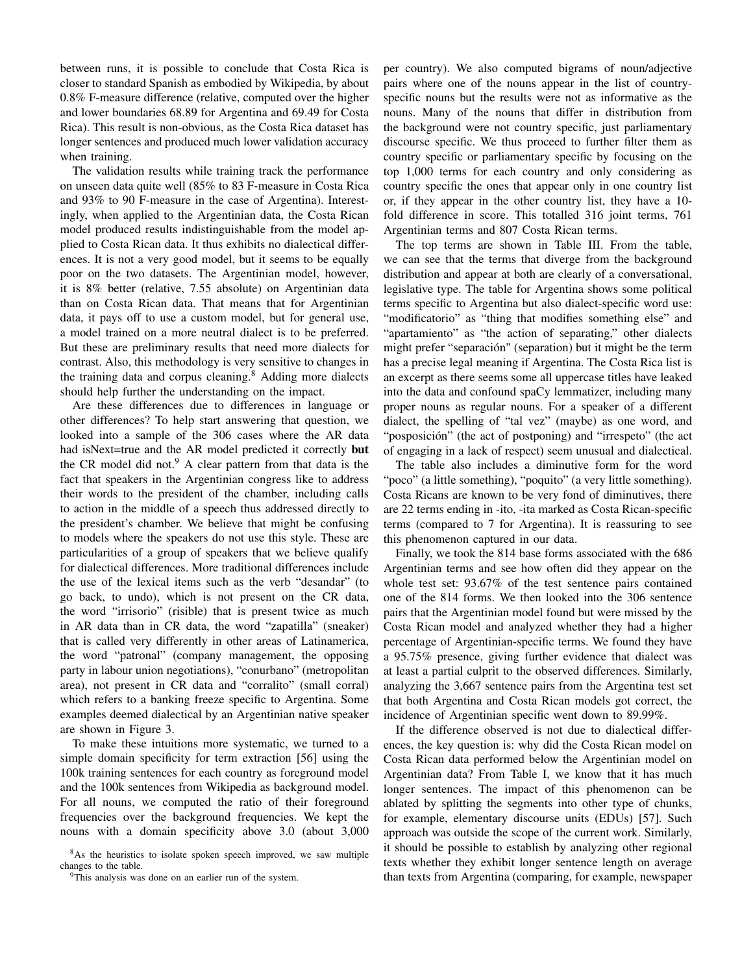between runs, it is possible to conclude that Costa Rica is closer to standard Spanish as embodied by Wikipedia, by about 0.8% F-measure difference (relative, computed over the higher and lower boundaries 68.89 for Argentina and 69.49 for Costa Rica). This result is non-obvious, as the Costa Rica dataset has longer sentences and produced much lower validation accuracy when training.

The validation results while training track the performance on unseen data quite well (85% to 83 F-measure in Costa Rica and 93% to 90 F-measure in the case of Argentina). Interestingly, when applied to the Argentinian data, the Costa Rican model produced results indistinguishable from the model applied to Costa Rican data. It thus exhibits no dialectical differences. It is not a very good model, but it seems to be equally poor on the two datasets. The Argentinian model, however, it is 8% better (relative, 7.55 absolute) on Argentinian data than on Costa Rican data. That means that for Argentinian data, it pays off to use a custom model, but for general use, a model trained on a more neutral dialect is to be preferred. But these are preliminary results that need more dialects for contrast. Also, this methodology is very sensitive to changes in the training data and corpus cleaning.<sup>[8](#page-4-0)</sup> Adding more dialects should help further the understanding on the impact.

Are these differences due to differences in language or other differences? To help start answering that question, we looked into a sample of the 306 cases where the AR data had isNext=true and the AR model predicted it correctly **but** the CR model did not.<sup>[9](#page-4-1)</sup> A clear pattern from that data is the fact that speakers in the Argentinian congress like to address their words to the president of the chamber, including calls to action in the middle of a speech thus addressed directly to the president's chamber. We believe that might be confusing to models where the speakers do not use this style. These are particularities of a group of speakers that we believe qualify for dialectical differences. More traditional differences include the use of the lexical items such as the verb "desandar" (to go back, to undo), which is not present on the CR data, the word "irrisorio" (risible) that is present twice as much in AR data than in CR data, the word "zapatilla" (sneaker) that is called very differently in other areas of Latinamerica, the word "patronal" (company management, the opposing party in labour union negotiations), "conurbano" (metropolitan area), not present in CR data and "corralito" (small corral) which refers to a banking freeze specific to Argentina. Some examples deemed dialectical by an Argentinian native speaker are shown in Figure [3.](#page-9-0)

To make these intuitions more systematic, we turned to a simple domain specificity for term extraction [\[56\]](#page-7-19) using the 100k training sentences for each country as foreground model and the 100k sentences from Wikipedia as background model. For all nouns, we computed the ratio of their foreground frequencies over the background frequencies. We kept the nouns with a domain specificity above 3.0 (about 3,000

<span id="page-4-0"></span><sup>8</sup>As the heuristics to isolate spoken speech improved, we saw multiple changes to the table.

<span id="page-4-1"></span><sup>9</sup>This analysis was done on an earlier run of the system.

per country). We also computed bigrams of noun/adjective pairs where one of the nouns appear in the list of countryspecific nouns but the results were not as informative as the nouns. Many of the nouns that differ in distribution from the background were not country specific, just parliamentary discourse specific. We thus proceed to further filter them as country specific or parliamentary specific by focusing on the top 1,000 terms for each country and only considering as country specific the ones that appear only in one country list or, if they appear in the other country list, they have a 10 fold difference in score. This totalled 316 joint terms, 761 Argentinian terms and 807 Costa Rican terms.

The top terms are shown in Table [III.](#page-6-17) From the table, we can see that the terms that diverge from the background distribution and appear at both are clearly of a conversational, legislative type. The table for Argentina shows some political terms specific to Argentina but also dialect-specific word use: "modificatorio" as "thing that modifies something else" and "apartamiento" as "the action of separating," other dialects might prefer "separación" (separation) but it might be the term has a precise legal meaning if Argentina. The Costa Rica list is an excerpt as there seems some all uppercase titles have leaked into the data and confound spaCy lemmatizer, including many proper nouns as regular nouns. For a speaker of a different dialect, the spelling of "tal vez" (maybe) as one word, and "posposición" (the act of postponing) and "irrespeto" (the act of engaging in a lack of respect) seem unusual and dialectical.

The table also includes a diminutive form for the word "poco" (a little something), "poquito" (a very little something). Costa Ricans are known to be very fond of diminutives, there are 22 terms ending in -ito, -ita marked as Costa Rican-specific terms (compared to 7 for Argentina). It is reassuring to see this phenomenon captured in our data.

Finally, we took the 814 base forms associated with the 686 Argentinian terms and see how often did they appear on the whole test set: 93.67% of the test sentence pairs contained one of the 814 forms. We then looked into the 306 sentence pairs that the Argentinian model found but were missed by the Costa Rican model and analyzed whether they had a higher percentage of Argentinian-specific terms. We found they have a 95.75% presence, giving further evidence that dialect was at least a partial culprit to the observed differences. Similarly, analyzing the 3,667 sentence pairs from the Argentina test set that both Argentina and Costa Rican models got correct, the incidence of Argentinian specific went down to 89.99%.

If the difference observed is not due to dialectical differences, the key question is: why did the Costa Rican model on Costa Rican data performed below the Argentinian model on Argentinian data? From Table [I,](#page-2-6) we know that it has much longer sentences. The impact of this phenomenon can be ablated by splitting the segments into other type of chunks, for example, elementary discourse units (EDUs) [\[57\]](#page-7-20). Such approach was outside the scope of the current work. Similarly, it should be possible to establish by analyzing other regional texts whether they exhibit longer sentence length on average than texts from Argentina (comparing, for example, newspaper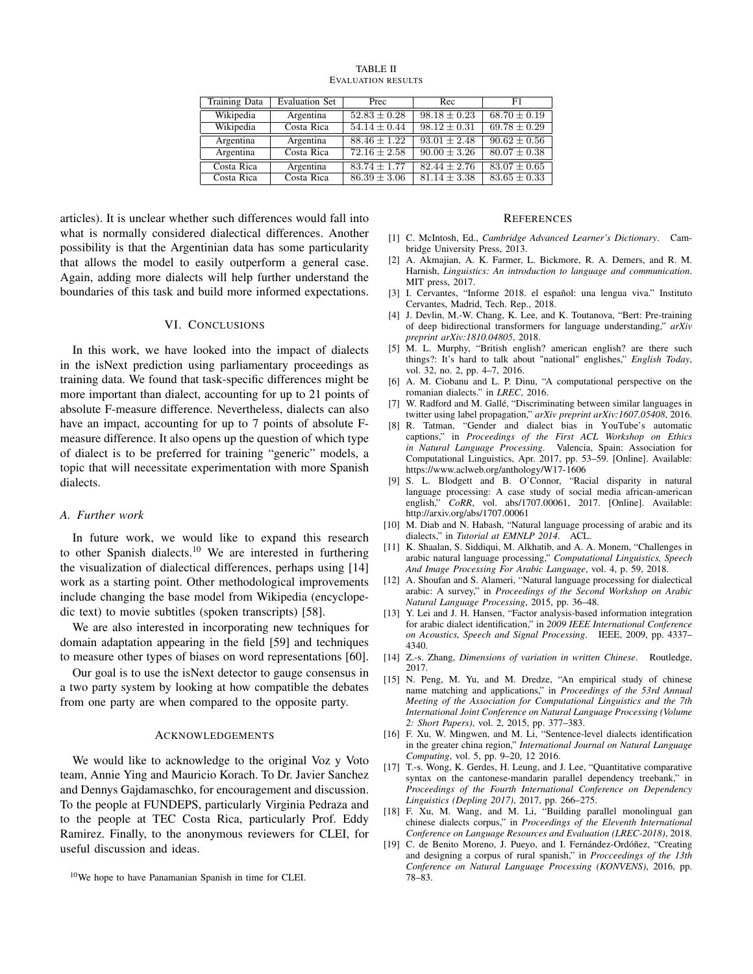TABLE II EVALUATION RESULTS

<span id="page-5-19"></span>

| Training Data | <b>Evaluation Set</b> | Prec             | Rec              | F1               |
|---------------|-----------------------|------------------|------------------|------------------|
| Wikipedia     | Argentina             | $52.83 \pm 0.28$ | $98.18 \pm 0.23$ | $68.70 \pm 0.19$ |
| Wikipedia     | Costa Rica            | $54.14 \pm 0.44$ | $98.12 \pm 0.31$ | $69.78 \pm 0.29$ |
| Argentina     | Argentina             | $88.46 \pm 1.22$ | $93.01 \pm 2.48$ | $90.62 \pm 0.56$ |
| Argentina     | Costa Rica            | $72.16 \pm 2.58$ | $90.00 \pm 3.26$ | $80.07 \pm 0.38$ |
| Costa Rica    | Argentina             | $83.74 \pm 1.77$ | $82.44 + 2.76$   | $83.07 \pm 0.65$ |
| Costa Rica    | Costa Rica            | $86.39 \pm 3.06$ | $81.14 \pm 3.38$ | $83.65 \pm 0.33$ |

articles). It is unclear whether such differences would fall into what is normally considered dialectical differences. Another possibility is that the Argentinian data has some particularity that allows the model to easily outperform a general case. Again, adding more dialects will help further understand the boundaries of this task and build more informed expectations.

## VI. CONCLUSIONS

In this work, we have looked into the impact of dialects in the isNext prediction using parliamentary proceedings as training data. We found that task-specific differences might be more important than dialect, accounting for up to 21 points of absolute F-measure difference. Nevertheless, dialects can also have an impact, accounting for up to 7 points of absolute Fmeasure difference. It also opens up the question of which type of dialect is to be preferred for training "generic" models, a topic that will necessitate experimentation with more Spanish dialects.

#### *A. Further work*

In future work, we would like to expand this research to other Spanish dialects.<sup>[10](#page-5-20)</sup> We are interested in furthering the visualization of dialectical differences, perhaps using [\[14\]](#page-5-13) work as a starting point. Other methodological improvements include changing the base model from Wikipedia (encyclopedic text) to movie subtitles (spoken transcripts) [\[58\]](#page-7-21).

We are also interested in incorporating new techniques for domain adaptation appearing in the field [\[59\]](#page-7-22) and techniques to measure other types of biases on word representations [\[60\]](#page-7-23).

Our goal is to use the isNext detector to gauge consensus in a two party system by looking at how compatible the debates from one party are when compared to the opposite party.

## ACKNOWLEDGEMENTS

We would like to acknowledge to the original Voz y Voto team, Annie Ying and Mauricio Korach. To Dr. Javier Sanchez and Dennys Gajdamaschko, for encouragement and discussion. To the people at FUNDEPS, particularly Virginia Pedraza and to the people at TEC Costa Rica, particularly Prof. Eddy Ramirez. Finally, to the anonymous reviewers for CLEI, for useful discussion and ideas.

#### **REFERENCES**

- <span id="page-5-0"></span>[1] C. McIntosh, Ed., *Cambridge Advanced Learner's Dictionary*. Cambridge University Press, 2013.
- <span id="page-5-3"></span>[2] A. Akmajian, A. K. Farmer, L. Bickmore, R. A. Demers, and R. M. Harnish, *Linguistics: An introduction to language and communication*. MIT press, 2017.
- <span id="page-5-1"></span>[3] I. Cervantes, "Informe 2018. el español: una lengua viva." Instituto Cervantes, Madrid, Tech. Rep., 2018.
- <span id="page-5-2"></span>[4] J. Devlin, M.-W. Chang, K. Lee, and K. Toutanova, "Bert: Pre-training of deep bidirectional transformers for language understanding," *arXiv preprint arXiv:1810.04805*, 2018.
- <span id="page-5-4"></span>[5] M. L. Murphy, "British english? american english? are there such things?: It's hard to talk about "national" englishes," *English Today*, vol. 32, no. 2, pp. 4–7, 2016.
- <span id="page-5-5"></span>[6] A. M. Ciobanu and L. P. Dinu, "A computational perspective on the romanian dialects." in *LREC*, 2016.
- <span id="page-5-6"></span>[7] W. Radford and M. Gallé, "Discriminating between similar languages in twitter using label propagation," *arXiv preprint arXiv:1607.05408*, 2016.
- <span id="page-5-7"></span>[8] R. Tatman, "Gender and dialect bias in YouTube's automatic captions," in *Proceedings of the First ACL Workshop on Ethics in Natural Language Processing*. Valencia, Spain: Association for Computational Linguistics, Apr. 2017, pp. 53–59. [Online]. Available: <https://www.aclweb.org/anthology/W17-1606>
- <span id="page-5-8"></span>[9] S. L. Blodgett and B. O'Connor, "Racial disparity in natural language processing: A case study of social media african-american english," *CoRR*, vol. abs/1707.00061, 2017. [Online]. Available: <http://arxiv.org/abs/1707.00061>
- <span id="page-5-9"></span>[10] M. Diab and N. Habash, "Natural language processing of arabic and its dialects," in *Tutorial at EMNLP 2014*. ACL.
- <span id="page-5-10"></span>[11] K. Shaalan, S. Siddiqui, M. Alkhatib, and A. A. Monem, "Challenges in arabic natural language processing," *Computational Linguistics, Speech And Image Processing For Arabic Language*, vol. 4, p. 59, 2018.
- <span id="page-5-11"></span>[12] A. Shoufan and S. Alameri, "Natural language processing for dialectical arabic: A survey," in *Proceedings of the Second Workshop on Arabic Natural Language Processing*, 2015, pp. 36–48.
- <span id="page-5-12"></span>[13] Y. Lei and J. H. Hansen, "Factor analysis-based information integration for arabic dialect identification," in *2009 IEEE International Conference on Acoustics, Speech and Signal Processing*. IEEE, 2009, pp. 4337– 4340.
- <span id="page-5-13"></span>[14] Z.-s. Zhang, *Dimensions of variation in written Chinese*. Routledge, 2017.
- <span id="page-5-14"></span>[15] N. Peng, M. Yu, and M. Dredze, "An empirical study of chinese name matching and applications," in *Proceedings of the 53rd Annual Meeting of the Association for Computational Linguistics and the 7th International Joint Conference on Natural Language Processing (Volume 2: Short Papers)*, vol. 2, 2015, pp. 377–383.
- <span id="page-5-15"></span>[16] F. Xu, W. Mingwen, and M. Li, "Sentence-level dialects identification in the greater china region," *International Journal on Natural Language Computing*, vol. 5, pp. 9–20, 12 2016.
- <span id="page-5-16"></span>[17] T.-s. Wong, K. Gerdes, H. Leung, and J. Lee, "Quantitative comparative syntax on the cantonese-mandarin parallel dependency treebank," in *Proceedings of the Fourth International Conference on Dependency Linguistics (Depling 2017)*, 2017, pp. 266–275.
- <span id="page-5-17"></span>[18] F. Xu, M. Wang, and M. Li, "Building parallel monolingual gan chinese dialects corpus," in *Proceedings of the Eleventh International Conference on Language Resources and Evaluation (LREC-2018)*, 2018.
- <span id="page-5-18"></span>[19] C. de Benito Moreno, J. Pueyo, and I. Fernández-Ordóñez, "Creating and designing a corpus of rural spanish," in *Procceedings of the 13th Conference on Natural Language Processing (KONVENS)*, 2016, pp. 78–83.

<span id="page-5-20"></span><sup>10</sup>We hope to have Panamanian Spanish in time for CLEI.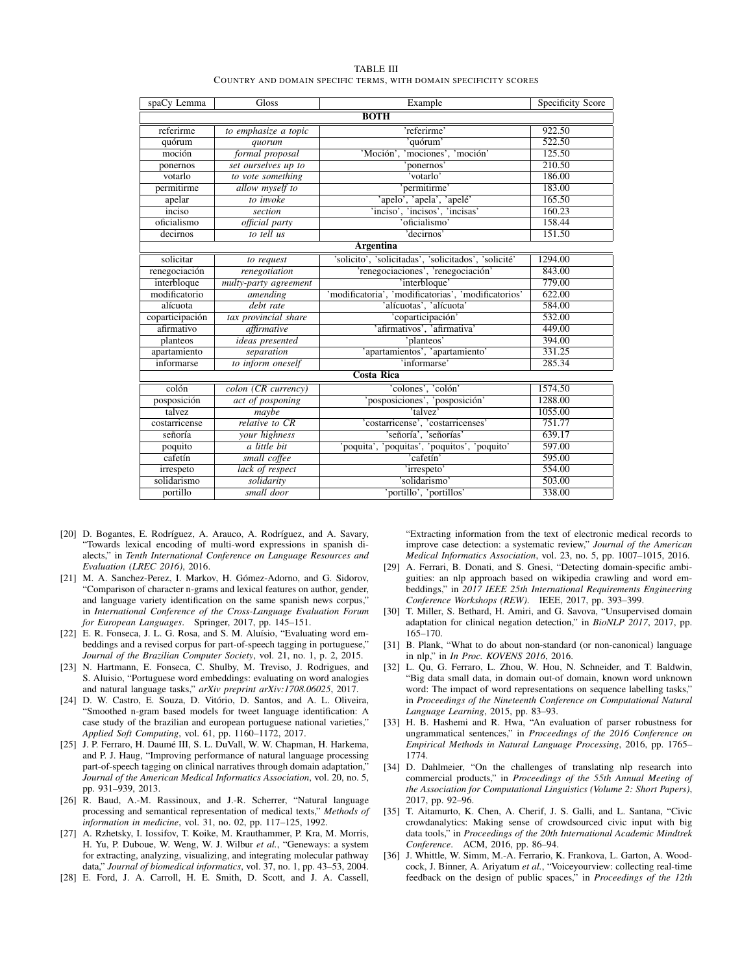| TABLE III                                                         |  |  |  |  |  |  |  |
|-------------------------------------------------------------------|--|--|--|--|--|--|--|
| COUNTRY AND DOMAIN SPECIFIC TERMS, WITH DOMAIN SPECIFICITY SCORES |  |  |  |  |  |  |  |

<span id="page-6-17"></span>

| spaCy Lemma               | Gloss                 | Example                                              | Specificity Score |  |
|---------------------------|-----------------------|------------------------------------------------------|-------------------|--|
|                           |                       | <b>BOTH</b>                                          |                   |  |
| referirme                 | to emphasize a topic  | 'referirme'                                          | 922.50            |  |
| quórum                    | quorum                | 'quórum'                                             | 522.50            |  |
| moción                    | formal proposal       | 'Moción', 'mociones', 'moción'                       | 125.50            |  |
| ponernos                  | set ourselves up to   | 'ponernos'                                           | 210.50            |  |
| votarlo                   | to vote something     | 'votarlo'                                            | 186.00            |  |
| permitirme                | allow myself to       | permitirme'                                          | 183.00            |  |
| apelar                    | to invoke             | 'apelo', 'apela', 'apelé'                            | 165.50            |  |
| inciso                    | section               | 'inciso', 'incisos', 'incisas'                       | 160.23            |  |
| oficialismo               | official party        | 'oficialismo'                                        | 158.44            |  |
| decirnos                  | to tell us            | 'decirnos'                                           | 151.50            |  |
| <b>Argentina</b>          |                       |                                                      |                   |  |
| solicitar                 | to request            | 'solicito', 'solicitadas', 'solicitados', 'solicité' | 1294.00           |  |
| renegociación             | renegotiation         | 'renegociaciones', 'renegociación'                   | 843.00            |  |
| interbloque               | multy-party agreement | 'interbloque'                                        | 779.00            |  |
| modificatorio             | amending              | 'modificatoria', 'modificatorias', 'modificatorios'  | 622.00            |  |
| alícuota                  | debt rate             | 'alícuotas', 'alícuota'                              | 584.00            |  |
| coparticipación           | tax provincial share  | 'coparticipación'                                    | 532.00            |  |
| afirmativo                | affirmative           | 'afirmativos', 'afirmativa'                          | 449.00            |  |
| planteos                  | ideas presented       | 'planteos'                                           | 394.00            |  |
| apartamiento              | separation            | 'apartamientos', 'apartamiento'                      | 331.25            |  |
| informarse                | to inform oneself     | 'informarse'                                         | 285.34            |  |
| <b>Costa Rica</b>         |                       |                                                      |                   |  |
| $\overline{\text{colón}}$ | colon (CR currency)   | 'colones', 'colón'                                   | 1574.50           |  |
| posposición               | act of posponing      | 'posposiciones', 'posposición'                       | 1288.00           |  |
| talvez.                   | maybe                 | 'talvez'                                             | 1055.00           |  |
| costarricense             | relative to CR        | 'costarricense', 'costarricenses'                    | 751.77            |  |
| señoría                   | your highness         | 'señoría', 'señorías'                                | 639.17            |  |
| poquito                   | a little bit          | 'poquita', 'poquitas', 'poquitos', 'poquito'         | 597.00            |  |
| cafetín                   | small coffee          | 'cafetín'                                            | 595.00            |  |
| irrespeto                 | lack of respect       | 'irrespeto'                                          | 554.00            |  |
| solidarismo               | solidarity            | 'solidarismo'                                        | 503.00            |  |
| portillo                  | small door            | 'portillo', 'portillos'                              | 338.00            |  |

- <span id="page-6-0"></span>[20] D. Bogantes, E. Rodríguez, A. Arauco, A. Rodríguez, and A. Savary, "Towards lexical encoding of multi-word expressions in spanish dialects," in *Tenth International Conference on Language Resources and Evaluation (LREC 2016)*, 2016.
- <span id="page-6-1"></span>[21] M. A. Sanchez-Perez, I. Markov, H. Gómez-Adorno, and G. Sidorov, "Comparison of character n-grams and lexical features on author, gender, and language variety identification on the same spanish news corpus," in *International Conference of the Cross-Language Evaluation Forum for European Languages*. Springer, 2017, pp. 145–151.
- <span id="page-6-2"></span>[22] E. R. Fonseca, J. L. G. Rosa, and S. M. Aluísio, "Evaluating word embeddings and a revised corpus for part-of-speech tagging in portuguese," *Journal of the Brazilian Computer Society*, vol. 21, no. 1, p. 2, 2015.
- <span id="page-6-3"></span>[23] N. Hartmann, E. Fonseca, C. Shulby, M. Treviso, J. Rodrigues, and S. Aluisio, "Portuguese word embeddings: evaluating on word analogies and natural language tasks," *arXiv preprint arXiv:1708.06025*, 2017.
- <span id="page-6-4"></span>[24] D. W. Castro, E. Souza, D. Vitório, D. Santos, and A. L. Oliveira, "Smoothed n-gram based models for tweet language identification: A case study of the brazilian and european portuguese national varieties," *Applied Soft Computing*, vol. 61, pp. 1160–1172, 2017.
- <span id="page-6-5"></span>[25] J. P. Ferraro, H. Daumé III, S. L. DuVall, W. W. Chapman, H. Harkema, and P. J. Haug, "Improving performance of natural language processing part-of-speech tagging on clinical narratives through domain adaptation," *Journal of the American Medical Informatics Association*, vol. 20, no. 5, pp. 931–939, 2013.
- <span id="page-6-6"></span>[26] R. Baud, A.-M. Rassinoux, and J.-R. Scherrer, "Natural language processing and semantical representation of medical texts," *Methods of information in medicine*, vol. 31, no. 02, pp. 117–125, 1992.
- <span id="page-6-7"></span>[27] A. Rzhetsky, I. Iossifov, T. Koike, M. Krauthammer, P. Kra, M. Morris, H. Yu, P. Duboue, W. Weng, W. J. Wilbur *et al.*, "Geneways: a system for extracting, analyzing, visualizing, and integrating molecular pathway data," *Journal of biomedical informatics*, vol. 37, no. 1, pp. 43–53, 2004.
- <span id="page-6-8"></span>[28] E. Ford, J. A. Carroll, H. E. Smith, D. Scott, and J. A. Cassell,

"Extracting information from the text of electronic medical records to improve case detection: a systematic review," *Journal of the American Medical Informatics Association*, vol. 23, no. 5, pp. 1007–1015, 2016.

- <span id="page-6-9"></span>[29] A. Ferrari, B. Donati, and S. Gnesi, "Detecting domain-specific ambiguities: an nlp approach based on wikipedia crawling and word embeddings," in *2017 IEEE 25th International Requirements Engineering Conference Workshops (REW)*. IEEE, 2017, pp. 393–399.
- <span id="page-6-10"></span>[30] T. Miller, S. Bethard, H. Amiri, and G. Savova, "Unsupervised domain adaptation for clinical negation detection," in *BioNLP 2017*, 2017, pp. 165–170.
- <span id="page-6-11"></span>[31] B. Plank, "What to do about non-standard (or non-canonical) language in nlp," in *In Proc. KOVENS 2016*, 2016.
- <span id="page-6-12"></span>[32] L. Qu, G. Ferraro, L. Zhou, W. Hou, N. Schneider, and T. Baldwin, "Big data small data, in domain out-of domain, known word unknown word: The impact of word representations on sequence labelling tasks," in *Proceedings of the Nineteenth Conference on Computational Natural Language Learning*, 2015, pp. 83–93.
- <span id="page-6-13"></span>[33] H. B. Hashemi and R. Hwa, "An evaluation of parser robustness for ungrammatical sentences," in *Proceedings of the 2016 Conference on Empirical Methods in Natural Language Processing*, 2016, pp. 1765– 1774.
- <span id="page-6-14"></span>[34] D. Dahlmeier, "On the challenges of translating nlp research into commercial products," in *Proceedings of the 55th Annual Meeting of the Association for Computational Linguistics (Volume 2: Short Papers)*, 2017, pp. 92–96.
- <span id="page-6-15"></span>[35] T. Aitamurto, K. Chen, A. Cherif, J. S. Galli, and L. Santana, "Civic crowdanalytics: Making sense of crowdsourced civic input with big data tools," in *Proceedings of the 20th International Academic Mindtrek Conference*. ACM, 2016, pp. 86–94.
- <span id="page-6-16"></span>[36] J. Whittle, W. Simm, M.-A. Ferrario, K. Frankova, L. Garton, A. Woodcock, J. Binner, A. Ariyatum *et al.*, "Voiceyourview: collecting real-time feedback on the design of public spaces," in *Proceedings of the 12th*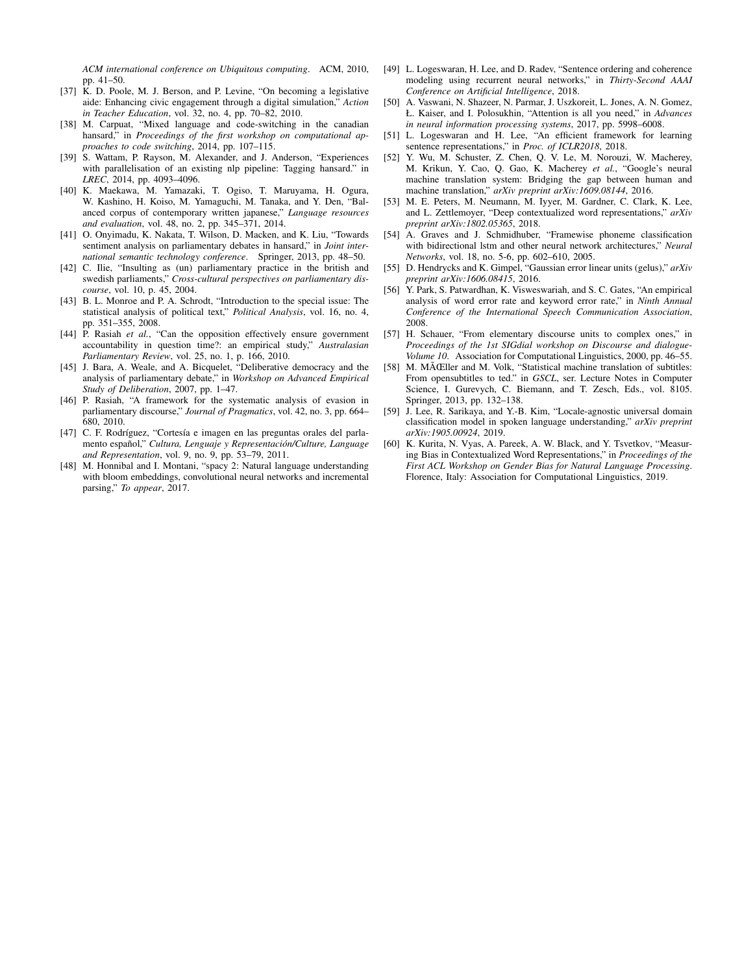*ACM international conference on Ubiquitous computing*. ACM, 2010, pp. 41–50.

- <span id="page-7-0"></span>[37] K. D. Poole, M. J. Berson, and P. Levine, "On becoming a legislative aide: Enhancing civic engagement through a digital simulation," *Action in Teacher Education*, vol. 32, no. 4, pp. 70–82, 2010.
- <span id="page-7-1"></span>[38] M. Carpuat, "Mixed language and code-switching in the canadian hansard," in *Proceedings of the first workshop on computational approaches to code switching*, 2014, pp. 107–115.
- <span id="page-7-2"></span>[39] S. Wattam, P. Rayson, M. Alexander, and J. Anderson, "Experiences with parallelisation of an existing nlp pipeline: Tagging hansard." in *LREC*, 2014, pp. 4093–4096.
- <span id="page-7-3"></span>[40] K. Maekawa, M. Yamazaki, T. Ogiso, T. Maruyama, H. Ogura, W. Kashino, H. Koiso, M. Yamaguchi, M. Tanaka, and Y. Den, "Balanced corpus of contemporary written japanese," *Language resources and evaluation*, vol. 48, no. 2, pp. 345–371, 2014.
- <span id="page-7-4"></span>[41] O. Onyimadu, K. Nakata, T. Wilson, D. Macken, and K. Liu, "Towards sentiment analysis on parliamentary debates in hansard," in *Joint international semantic technology conference*. Springer, 2013, pp. 48–50.
- <span id="page-7-5"></span>[42] C. Ilie, "Insulting as (un) parliamentary practice in the british and swedish parliaments," *Cross-cultural perspectives on parliamentary discourse*, vol. 10, p. 45, 2004.
- <span id="page-7-6"></span>[43] B. L. Monroe and P. A. Schrodt, "Introduction to the special issue: The statistical analysis of political text," *Political Analysis*, vol. 16, no. 4, pp. 351–355, 2008.
- <span id="page-7-7"></span>[44] P. Rasiah et al., "Can the opposition effectively ensure government accountability in question time?: an empirical study," *Australasian Parliamentary Review*, vol. 25, no. 1, p. 166, 2010.
- <span id="page-7-8"></span>[45] J. Bara, A. Weale, and A. Bicquelet, "Deliberative democracy and the analysis of parliamentary debate," in *Workshop on Advanced Empirical Study of Deliberation*, 2007, pp. 1–47.
- <span id="page-7-9"></span>[46] P. Rasiah, "A framework for the systematic analysis of evasion in parliamentary discourse," *Journal of Pragmatics*, vol. 42, no. 3, pp. 664– 680, 2010.
- <span id="page-7-10"></span>[47] C. F. Rodríguez, "Cortesía e imagen en las preguntas orales del parlamento español," *Cultura, Lenguaje y Representación/Culture, Language and Representation*, vol. 9, no. 9, pp. 53–79, 2011.
- <span id="page-7-11"></span>[48] M. Honnibal and I. Montani, "spacy 2: Natural language understanding with bloom embeddings, convolutional neural networks and incremental parsing," *To appear*, 2017.
- <span id="page-7-12"></span>[49] L. Logeswaran, H. Lee, and D. Radev, "Sentence ordering and coherence modeling using recurrent neural networks," in *Thirty-Second AAAI Conference on Artificial Intelligence*, 2018.
- <span id="page-7-13"></span>[50] A. Vaswani, N. Shazeer, N. Parmar, J. Uszkoreit, L. Jones, A. N. Gomez, Ł. Kaiser, and I. Polosukhin, "Attention is all you need," in *Advances in neural information processing systems*, 2017, pp. 5998–6008.
- <span id="page-7-14"></span>[51] L. Logeswaran and H. Lee, "An efficient framework for learning sentence representations," in *Proc. of ICLR2018*, 2018.
- <span id="page-7-15"></span>[52] Y. Wu, M. Schuster, Z. Chen, Q. V. Le, M. Norouzi, W. Macherey, M. Krikun, Y. Cao, Q. Gao, K. Macherey *et al.*, "Google's neural machine translation system: Bridging the gap between human and machine translation," *arXiv preprint arXiv:1609.08144*, 2016.
- <span id="page-7-16"></span>[53] M. E. Peters, M. Neumann, M. Iyyer, M. Gardner, C. Clark, K. Lee, and L. Zettlemoyer, "Deep contextualized word representations," *arXiv preprint arXiv:1802.05365*, 2018.
- <span id="page-7-17"></span>[54] A. Graves and J. Schmidhuber, "Framewise phoneme classification with bidirectional lstm and other neural network architectures," *Neural Networks*, vol. 18, no. 5-6, pp. 602–610, 2005.
- <span id="page-7-18"></span>[55] D. Hendrycks and K. Gimpel, "Gaussian error linear units (gelus)," *arXiv preprint arXiv:1606.08415*, 2016.
- <span id="page-7-19"></span>[56] Y. Park, S. Patwardhan, K. Visweswariah, and S. C. Gates, "An empirical analysis of word error rate and keyword error rate," in *Ninth Annual Conference of the International Speech Communication Association*, 2008.
- <span id="page-7-20"></span>[57] H. Schauer, "From elementary discourse units to complex ones," in *Proceedings of the 1st SIGdial workshop on Discourse and dialogue-Volume 10*. Association for Computational Linguistics, 2000, pp. 46–55.
- <span id="page-7-21"></span>[58] M. MÃŒller and M. Volk, "Statistical machine translation of subtitles: From opensubtitles to ted." in *GSCL*, ser. Lecture Notes in Computer Science, I. Gurevych, C. Biemann, and T. Zesch, Eds., vol. 8105. Springer, 2013, pp. 132–138.
- <span id="page-7-22"></span>[59] J. Lee, R. Sarikaya, and Y.-B. Kim, "Locale-agnostic universal domain classification model in spoken language understanding," *arXiv preprint arXiv:1905.00924*, 2019.
- <span id="page-7-23"></span>[60] K. Kurita, N. Vyas, A. Pareek, A. W. Black, and Y. Tsvetkov, "Measuring Bias in Contextualized Word Representations," in *Proceedings of the First ACL Workshop on Gender Bias for Natural Language Processing*. Florence, Italy: Association for Computational Linguistics, 2019.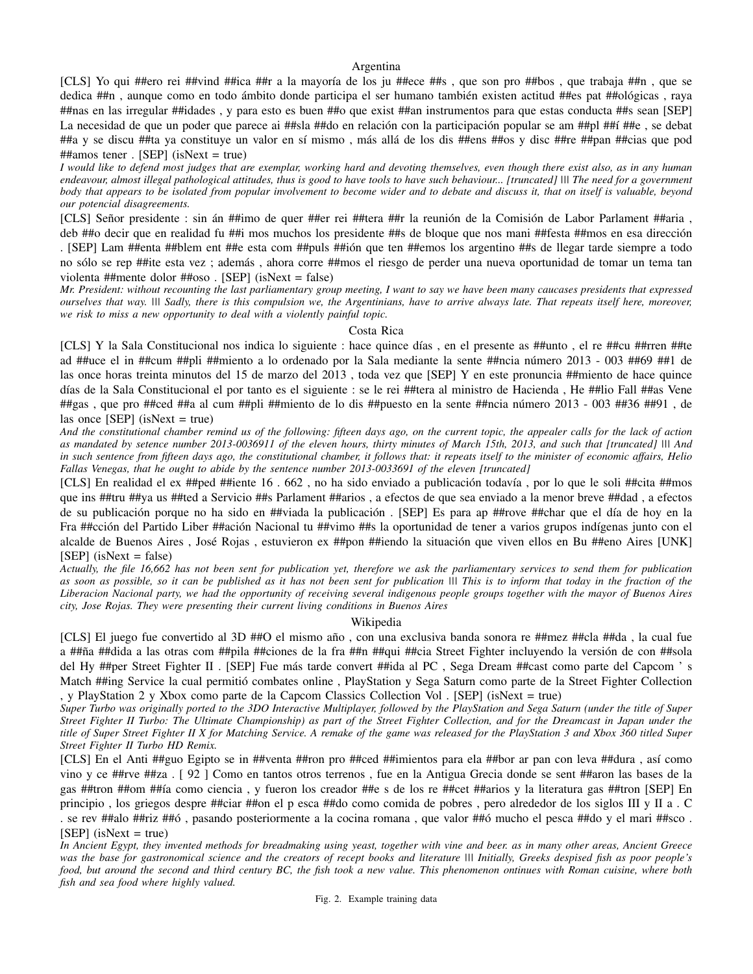# Argentina

[CLS] Yo qui ##ero rei ##vind ##ica ##r a la mayoría de los ju ##ece ##s , que son pro ##bos , que trabaja ##n , que se dedica ##n , aunque como en todo ámbito donde participa el ser humano también existen actitud ##es pat ##ológicas , raya ##nas en las irregular ##idades , y para esto es buen ##o que exist ##an instrumentos para que estas conducta ##s sean [SEP] La necesidad de que un poder que parece ai ##sla ##do en relación con la participación popular se am ##pl ##í ##e , se debat ##a y se discu ##ta ya constituye un valor en sí mismo , más allá de los dis ##ens ##os y disc ##re ##pan ##cias que pod ##amos tener . [SEP] (isNext = true)

*I would like to defend most judges that are exemplar, working hard and devoting themselves, even though there exist also, as in any human endeavour, almost illegal pathological attitudes, thus is good to have tools to have such behaviour... [truncated] ||| The need for a government body that appears to be isolated from popular involvement to become wider and to debate and discuss it, that on itself is valuable, beyond our potencial disagreements.*

[CLS] Señor presidente : sin án ##imo de quer ##er rei ##tera ##r la reunión de la Comisión de Labor Parlament ##aria , deb ##o decir que en realidad fu ##i mos muchos los presidente ##s de bloque que nos mani ##festa ##mos en esa dirección

. [SEP] Lam ##enta ##blem ent ##e esta com ##puls ##ión que ten ##emos los argentino ##s de llegar tarde siempre a todo no sólo se rep ##ite esta vez ; además , ahora corre ##mos el riesgo de perder una nueva oportunidad de tomar un tema tan violenta ##mente dolor ##oso . [SEP] (isNext = false)

*Mr. President: without recounting the last parliamentary group meeting, I want to say we have been many caucases presidents that expressed ourselves that way. ||| Sadly, there is this compulsion we, the Argentinians, have to arrive always late. That repeats itself here, moreover, we risk to miss a new opportunity to deal with a violently painful topic.*

#### Costa Rica

[CLS] Y la Sala Constitucional nos indica lo siguiente : hace quince días , en el presente as ##unto , el re ##cu ##rren ##te ad ##uce el in ##cum ##pli ##miento a lo ordenado por la Sala mediante la sente ##ncia número 2013 - 003 ##69 ##1 de las once horas treinta minutos del 15 de marzo del 2013 , toda vez que [SEP] Y en este pronuncia ##miento de hace quince días de la Sala Constitucional el por tanto es el siguiente : se le rei ##tera al ministro de Hacienda , He ##lio Fall ##as Vene ##gas , que pro ##ced ##a al cum ##pli ##miento de lo dis ##puesto en la sente ##ncia número 2013 - 003 ##36 ##91 , de las once  $[SEP]$  (isNext = true)

*And the constitutional chamber remind us of the following: fifteen days ago, on the current topic, the appealer calls for the lack of action as mandated by setence number 2013-0036911 of the eleven hours, thirty minutes of March 15th, 2013, and such that [truncated] ||| And in such sentence from fifteen days ago, the constitutional chamber, it follows that: it repeats itself to the minister of economic affairs, Helio Fallas Venegas, that he ought to abide by the sentence number 2013-0033691 of the eleven [truncated]*

[CLS] En realidad el ex ##ped ##iente 16 . 662 , no ha sido enviado a publicación todavía , por lo que le soli ##cita ##mos que ins ##tru ##ya us ##ted a Servicio ##s Parlament ##arios , a efectos de que sea enviado a la menor breve ##dad , a efectos de su publicación porque no ha sido en ##viada la publicación . [SEP] Es para ap ##rove ##char que el día de hoy en la Fra ##cción del Partido Liber ##ación Nacional tu ##vimo ##s la oportunidad de tener a varios grupos indígenas junto con el alcalde de Buenos Aires , José Rojas , estuvieron ex ##pon ##iendo la situación que viven ellos en Bu ##eno Aires [UNK]  $[SEP]$  (isNext = false)

*Actually, the file 16,662 has not been sent for publication yet, therefore we ask the parliamentary services to send them for publication as soon as possible, so it can be published as it has not been sent for publication ||| This is to inform that today in the fraction of the Liberacion Nacional party, we had the opportunity of receiving several indigenous people groups together with the mayor of Buenos Aires city, Jose Rojas. They were presenting their current living conditions in Buenos Aires*

#### <span id="page-8-0"></span>Wikipedia

[CLS] El juego fue convertido al 3D ##O el mismo año , con una exclusiva banda sonora re ##mez ##cla ##da , la cual fue a ##ña ##dida a las otras com ##pila ##ciones de la fra ##n ##qui ##cia Street Fighter incluyendo la versión de con ##sola del Hy ##per Street Fighter II . [SEP] Fue más tarde convert ##ida al PC , Sega Dream ##cast como parte del Capcom ' s Match ##ing Service la cual permitió combates online , PlayStation y Sega Saturn como parte de la Street Fighter Collection , y PlayStation 2 y Xbox como parte de la Capcom Classics Collection Vol . [SEP] (isNext = true)

*Super Turbo was originally ported to the 3DO Interactive Multiplayer, followed by the PlayStation and Sega Saturn (under the title of Super Street Fighter II Turbo: The Ultimate Championship) as part of the Street Fighter Collection, and for the Dreamcast in Japan under the title of Super Street Fighter II X for Matching Service. A remake of the game was released for the PlayStation 3 and Xbox 360 titled Super Street Fighter II Turbo HD Remix.*

[CLS] En el Anti ##guo Egipto se in ##venta ##ron pro ##ced ##imientos para ela ##bor ar pan con leva ##dura , así como vino y ce ##rve ##za . [ 92 ] Como en tantos otros terrenos , fue en la Antigua Grecia donde se sent ##aron las bases de la gas ##tron ##om ##ía como ciencia , y fueron los creador ##e s de los re ##cet ##arios y la literatura gas ##tron [SEP] En principio , los griegos despre ##ciar ##on el p esca ##do como comida de pobres , pero alrededor de los siglos III y II a . C . se rev ##alo ##riz ##ó , pasando posteriormente a la cocina romana , que valor ##ó mucho el pesca ##do y el mari ##sco .

 $[SEP]$  (isNext = true)

*In Ancient Egypt, they invented methods for breadmaking using yeast, together with vine and beer. as in many other areas, Ancient Greece was the base for gastronomical science and the creators of recept books and literature ||| Initially, Greeks despised fish as poor people's food, but around the second and third century BC, the fish took a new value. This phenomenon ontinues with Roman cuisine, where both fish and sea food where highly valued.*